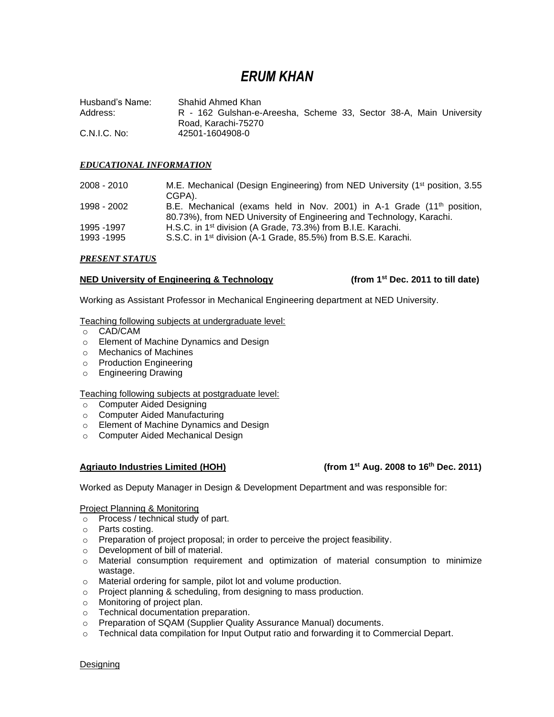# *ERUM KHAN*

Husband's Name: Shahid Ahmed Khan Address: R - 162 Gulshan-e-Areesha, Scheme 33, Sector 38-A, Main University Road, Karachi-75270 C.N.I.C. No: 42501-1604908-0

#### *EDUCATIONAL INFORMATION*

| 2008 - 2010                | M.E. Mechanical (Design Engineering) from NED University (1 <sup>st</sup> position, 3.55<br>CGPA).                                                         |
|----------------------------|------------------------------------------------------------------------------------------------------------------------------------------------------------|
| 1998 - 2002                | B.E. Mechanical (exams held in Nov. 2001) in A-1 Grade (11 <sup>th</sup> position,<br>80.73%), from NED University of Engineering and Technology, Karachi. |
| 1995 - 1997<br>1993 - 1995 | H.S.C. in 1 <sup>st</sup> division (A Grade, 73.3%) from B.I.E. Karachi.<br>S.S.C. in 1 <sup>st</sup> division (A-1 Grade, 85.5%) from B.S.E. Karachi.     |

#### *PRESENT STATUS*

#### **NED University of Engineering & Technology (from 1st Dec. 2011 to till date)**

Working as Assistant Professor in Mechanical Engineering department at NED University.

#### Teaching following subjects at undergraduate level:

- o CAD/CAM
- o Element of Machine Dynamics and Design
- o Mechanics of Machines
- o Production Engineering
- o Engineering Drawing

#### Teaching following subjects at postgraduate level:

- o Computer Aided Designing
- o Computer Aided Manufacturing
- o Element of Machine Dynamics and Design
- o Computer Aided Mechanical Design

### **Agriauto Industries Limited (HOH)**

### **(from 1st Aug. 2008 to 16<sup>th</sup> Dec. 2011)**

Worked as Deputy Manager in Design & Development Department and was responsible for:

## Project Planning & Monitoring

- o Process / technical study of part.
- o Parts costing.
- o Preparation of project proposal; in order to perceive the project feasibility.
- o Development of bill of material.
- $\circ$  Material consumption requirement and optimization of material consumption to minimize wastage.
- o Material ordering for sample, pilot lot and volume production.
- o Project planning & scheduling, from designing to mass production.
- o Monitoring of project plan.
- o Technical documentation preparation.
- o Preparation of SQAM (Supplier Quality Assurance Manual) documents.
- o Technical data compilation for Input Output ratio and forwarding it to Commercial Depart.

**Designing**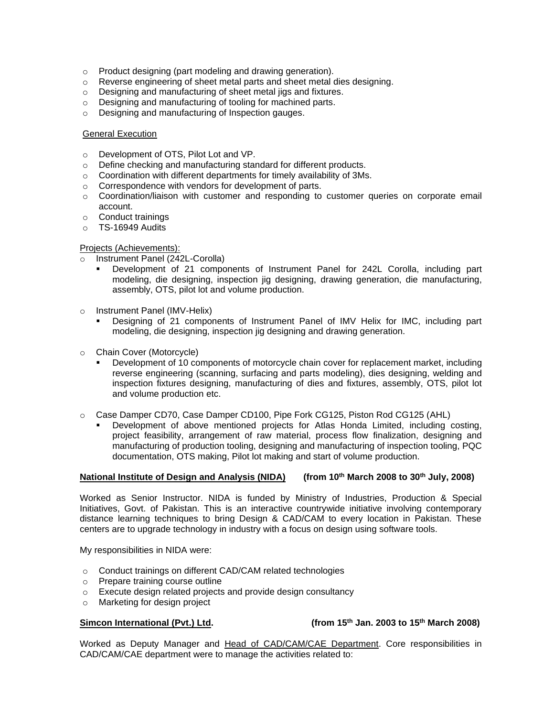- o Product designing (part modeling and drawing generation).
- o Reverse engineering of sheet metal parts and sheet metal dies designing.
- o Designing and manufacturing of sheet metal jigs and fixtures.
- o Designing and manufacturing of tooling for machined parts.
- o Designing and manufacturing of Inspection gauges.

#### General Execution

- o Development of OTS, Pilot Lot and VP.
- o Define checking and manufacturing standard for different products.
- o Coordination with different departments for timely availability of 3Ms.
- o Correspondence with vendors for development of parts.
- o Coordination/liaison with customer and responding to customer queries on corporate email account.
- o Conduct trainings
- o TS-16949 Audits

#### Projects (Achievements):

- o Instrument Panel (242L-Corolla)
	- Development of 21 components of Instrument Panel for 242L Corolla, including part modeling, die designing, inspection jig designing, drawing generation, die manufacturing, assembly, OTS, pilot lot and volume production.
- o Instrument Panel (IMV-Helix)
	- Designing of 21 components of Instrument Panel of IMV Helix for IMC, including part modeling, die designing, inspection jig designing and drawing generation.
- o Chain Cover (Motorcycle)
	- Development of 10 components of motorcycle chain cover for replacement market, including reverse engineering (scanning, surfacing and parts modeling), dies designing, welding and inspection fixtures designing, manufacturing of dies and fixtures, assembly, OTS, pilot lot and volume production etc.
- o Case Damper CD70, Case Damper CD100, Pipe Fork CG125, Piston Rod CG125 (AHL)
	- Development of above mentioned projects for Atlas Honda Limited, including costing, project feasibility, arrangement of raw material, process flow finalization, designing and manufacturing of production tooling, designing and manufacturing of inspection tooling, PQC documentation, OTS making, Pilot lot making and start of volume production.

#### **National Institute of Design and Analysis (NIDA) (from 10 th March 2008 to 30th July, 2008)**

Worked as Senior Instructor. NIDA is funded by Ministry of Industries, Production & Special Initiatives, Govt. of Pakistan. This is an interactive countrywide initiative involving contemporary distance learning techniques to bring Design & CAD/CAM to every location in Pakistan. These centers are to upgrade technology in industry with a focus on design using software tools.

My responsibilities in NIDA were:

- o Conduct trainings on different CAD/CAM related technologies
- o Prepare training course outline
- o Execute design related projects and provide design consultancy
- o Marketing for design project

### **Simcon International (Pvt.) Ltd. (from 15th Jan. 2003 to 15th March 2008)**

Worked as Deputy Manager and Head of CAD/CAM/CAE Department. Core responsibilities in CAD/CAM/CAE department were to manage the activities related to: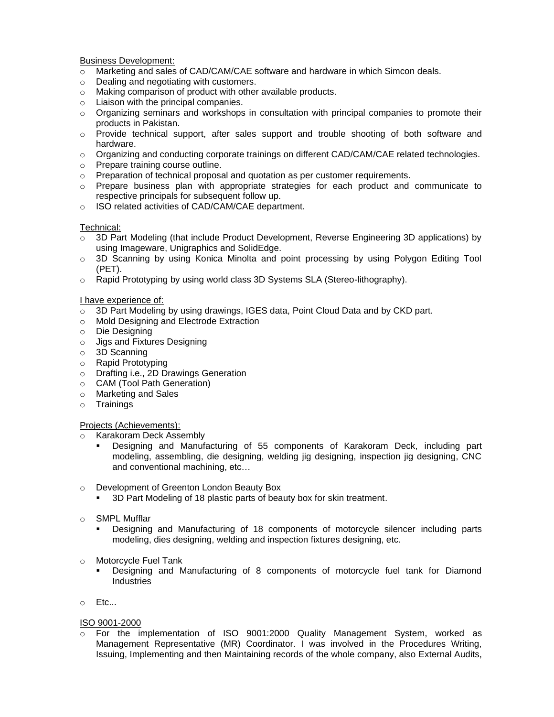#### Business Development:

- o Marketing and sales of CAD/CAM/CAE software and hardware in which Simcon deals.
- o Dealing and negotiating with customers.
- o Making comparison of product with other available products.
- o Liaison with the principal companies.
- $\circ$  Organizing seminars and workshops in consultation with principal companies to promote their products in Pakistan.
- $\circ$  Provide technical support, after sales support and trouble shooting of both software and hardware.
- o Organizing and conducting corporate trainings on different CAD/CAM/CAE related technologies.
- o Prepare training course outline.
- $\circ$  Preparation of technical proposal and quotation as per customer requirements.
- $\circ$  Prepare business plan with appropriate strategies for each product and communicate to respective principals for subsequent follow up.
- o ISO related activities of CAD/CAM/CAE department.

#### Technical:

- 3D Part Modeling (that include Product Development, Reverse Engineering 3D applications) by using Imageware, Unigraphics and SolidEdge.
- o 3D Scanning by using Konica Minolta and point processing by using Polygon Editing Tool (PET).
- o Rapid Prototyping by using world class 3D Systems SLA (Stereo-lithography).

#### I have experience of:

- $\circ$  3D Part Modeling by using drawings, IGES data, Point Cloud Data and by CKD part.
- o Mold Designing and Electrode Extraction
- o Die Designing
- o Jigs and Fixtures Designing
- o 3D Scanning
- o Rapid Prototyping
- o Drafting i.e., 2D Drawings Generation
- o CAM (Tool Path Generation)
- o Marketing and Sales
- o Trainings

#### Projects (Achievements):

- o Karakoram Deck Assembly
	- Designing and Manufacturing of 55 components of Karakoram Deck, including part modeling, assembling, die designing, welding jig designing, inspection jig designing, CNC and conventional machining, etc…
- o Development of Greenton London Beauty Box
	- 3D Part Modeling of 18 plastic parts of beauty box for skin treatment.
- o SMPL Mufflar
	- Designing and Manufacturing of 18 components of motorcycle silencer including parts modeling, dies designing, welding and inspection fixtures designing, etc.
- o Motorcycle Fuel Tank
	- Designing and Manufacturing of 8 components of motorcycle fuel tank for Diamond **Industries**
- o Etc...

#### ISO 9001-2000

o For the implementation of ISO 9001:2000 Quality Management System, worked as Management Representative (MR) Coordinator. I was involved in the Procedures Writing, Issuing, Implementing and then Maintaining records of the whole company, also External Audits,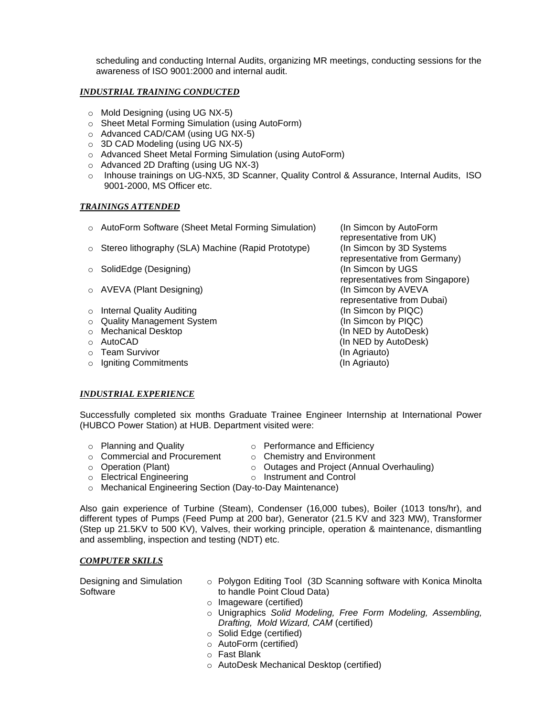scheduling and conducting Internal Audits, organizing MR meetings, conducting sessions for the awareness of ISO 9001:2000 and internal audit.

### *INDUSTRIAL TRAINING CONDUCTED*

- o Mold Designing (using UG NX-5)
- o Sheet Metal Forming Simulation (using AutoForm)
- o Advanced CAD/CAM (using UG NX-5)
- o 3D CAD Modeling (using UG NX-5)
- o Advanced Sheet Metal Forming Simulation (using AutoForm)
- o Advanced 2D Drafting (using UG NX-3)
- o Inhouse trainings on UG-NX5, 3D Scanner, Quality Control & Assurance, Internal Audits, ISO 9001-2000, MS Officer etc.

#### *TRAININGS ATTENDED*

- o AutoForm Software (Sheet Metal Forming Simulation) (In Simcon by AutoForm
- $\circ$  Stereo lithography (SLA) Machine (Rapid Prototype) (In Simcon by 3D Systems
- o SolidEdge (Designing) and a set of the SolidEdge (Designing) and a set of the SolidEdge (In Simcon by UGS
- o AVEVA (Plant Designing) (In Simcon by AVEVA
- o Internal Quality Auditing (In Simcon by PIQC)
- o Quality Management System (In Simcon by PIQC)
- o Mechanical Desktop (In NED by AutoDesk)
- 
- o Team Survivor (In Agriauto)
- o Igniting Commitments (In Agriauto)

representative from UK) representative from Germany) representatives from Singapore) representative from Dubai) o AutoCAD (In NED by AutoDesk)

#### *INDUSTRIAL EXPERIENCE*

Successfully completed six months Graduate Trainee Engineer Internship at International Power (HUBCO Power Station) at HUB. Department visited were:

- 
- o Planning and Quality **on Calic Performance and Efficiency**
- o Commercial and Procurement o Chemistry and Environment
- 
- o Operation (Plant) o Outages and Project (Annual Overhauling)
- 
- 
- o Electrical Engineering **o** Instrument and Control
- o Mechanical Engineering Section (Day-to-Day Maintenance)

Also gain experience of Turbine (Steam), Condenser (16,000 tubes), Boiler (1013 tons/hr), and different types of Pumps (Feed Pump at 200 bar), Generator (21.5 KV and 323 MW), Transformer (Step up 21.5KV to 500 KV), Valves, their working principle, operation & maintenance, dismantling and assembling, inspection and testing (NDT) etc.

#### *COMPUTER SKILLS*

Designing and Simulation Software

- o Polygon Editing Tool (3D Scanning software with Konica Minolta to handle Point Cloud Data)
- o Imageware (certified)
- o Unigraphics *Solid Modeling, Free Form Modeling, Assembling, Drafting, Mold Wizard, CAM* (certified)
- o Solid Edge (certified)
- o AutoForm (certified)
- o Fast Blank
- o AutoDesk Mechanical Desktop (certified)